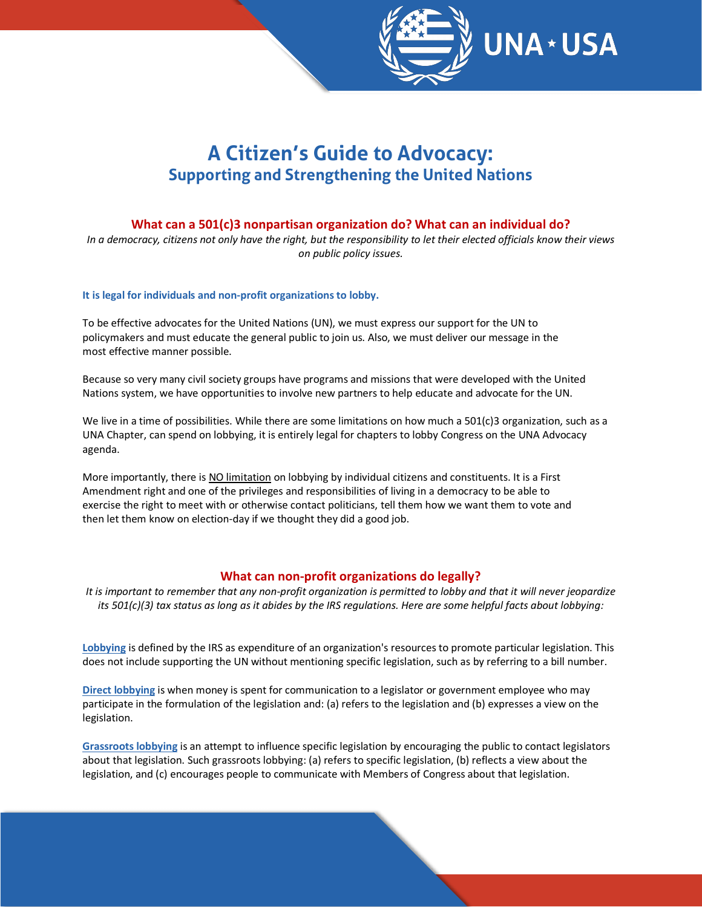

# **A Citizen's Guide to Advocacy: Supporting and Strengthening the United Nations**

## **What can a 501(c)3 nonpartisan organization do? What can an individual do?**

*In a democracy, citizens not only have the right, but the responsibility to let their elected officials know their views on public policy issues.*

#### **It is legal for individuals and non-profit organizations to lobby.**

To be effective advocates for the United Nations (UN), we must express our support for the UN to policymakers and must educate the general public to join us. Also, we must deliver our message in the most effective manner possible.

Because so very many civil society groups have programs and missions that were developed with the United Nations system, we have opportunities to involve new partners to help educate and advocate for the UN.

We live in a time of possibilities. While there are some limitations on how much a 501(c)3 organization, such as a UNA Chapter, can spend on lobbying, it is entirely legal for chapters to lobby Congress on the UNA Advocacy agenda.

More importantly, there is NO limitation on lobbying by individual citizens and constituents. It is a First Amendment right and one of the privileges and responsibilities of living in a democracy to be able to exercise the right to meet with or otherwise contact politicians, tell them how we want them to vote and then let them know on election-day if we thought they did a good job.

## **What can non-profit organizations do legally?**

*It is important to remember that any non-profit organization is permitted to lobby and that it will never jeopardize its 501(c)(3) tax status as long as it abides by the IRS regulations. Here are some helpful facts about lobbying:*

**Lobbying** is defined by the IRS as expenditure of an organization's resources to promote particular legislation. This does not include supporting the UN without mentioning specific legislation, such as by referring to a bill number.

**Direct lobbying** is when money is spent for communication to a legislator or government employee who may participate in the formulation of the legislation and: (a) refers to the legislation and (b) expresses a view on the legislation.

**Grassroots lobbying** is an attempt to influence specific legislation by encouraging the public to contact legislators about that legislation. Such grassroots lobbying: (a) refers to specific legislation, (b) reflects a view about the legislation, and (c) encourages people to communicate with Members of Congress about that legislation.